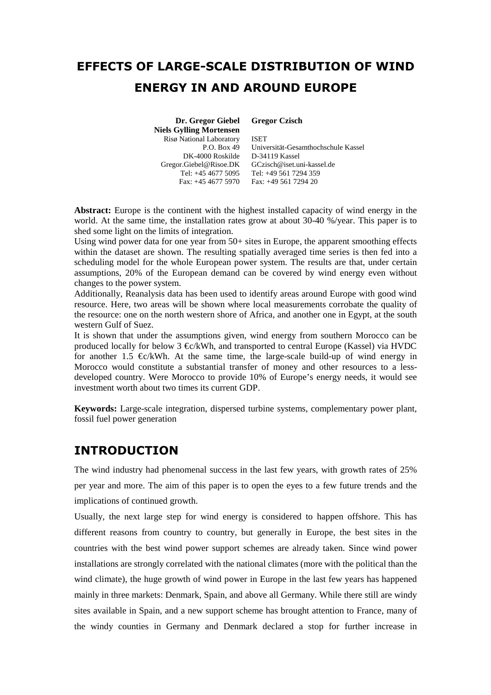# **EFFECTS OF LARGE-SCALE DISTRIBUTION OF WIND ENERGY IN AND AROUND EUROPE**

 **Dr. Gregor Giebel Niels Gylling Mortensen** Risø National Laboratory  $P \cap \operatorname{Rox} 49$ DK-4000 Roskilde Gregor.Giebel@Risoe.DK **Gregor Czisch**

Tel: +45 4677 5095 Tel: +49 561 7294 359 Fax: +45 4677 5970 Fax: +49 561 7294 20 ISET Universität-Gesamthochschule Kassel D-34119 Kassel GCzisch@iset.uni-kassel.de

**Abstract:** Europe is the continent with the highest installed capacity of wind energy in the world. At the same time, the installation rates grow at about 30-40 %/year. This paper is to shed some light on the limits of integration.

Using wind power data for one year from 50+ sites in Europe, the apparent smoothing effects within the dataset are shown. The resulting spatially averaged time series is then fed into a scheduling model for the whole European power system. The results are that, under certain assumptions, 20% of the European demand can be covered by wind energy even without changes to the power system.

Additionally, Reanalysis data has been used to identify areas around Europe with good wind resource. Here, two areas will be shown where local measurements corrobate the quality of the resource: one on the north western shore of Africa, and another one in Egypt, at the south western Gulf of Suez.

It is shown that under the assumptions given, wind energy from southern Morocco can be produced locally for below 3  $\mathcal{L}/kWh$ , and transported to central Europe (Kassel) via HVDC for another 1.5  $\epsilon$ /kWh. At the same time, the large-scale build-up of wind energy in Morocco would constitute a substantial transfer of money and other resources to a lessdeveloped country. Were Morocco to provide 10% of Europe's energy needs, it would see investment worth about two times its current GDP.

**Keywords:** Large-scale integration, dispersed turbine systems, complementary power plant, fossil fuel power generation

### **INTRODUCTION**

The wind industry had phenomenal success in the last few years, with growth rates of 25% per year and more. The aim of this paper is to open the eyes to a few future trends and the implications of continued growth.

Usually, the next large step for wind energy is considered to happen offshore. This has different reasons from country to country, but generally in Europe, the best sites in the countries with the best wind power support schemes are already taken. Since wind power installations are strongly correlated with the national climates (more with the political than the wind climate), the huge growth of wind power in Europe in the last few years has happened mainly in three markets: Denmark, Spain, and above all Germany. While there still are windy sites available in Spain, and a new support scheme has brought attention to France, many of the windy counties in Germany and Denmark declared a stop for further increase in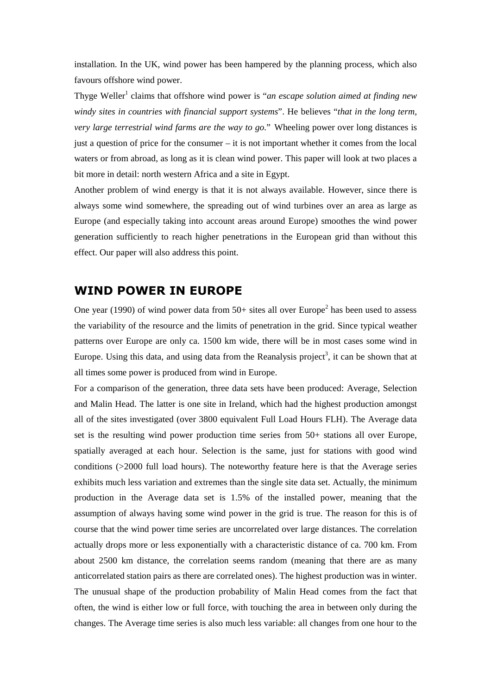installation. In the UK, wind power has been hampered by the planning process, which also favours offshore wind power.

Thyge Weller<sup>1</sup> claims that offshore wind power is "*an escape solution aimed at finding new windy sites in countries with financial support systems*". He believes "*that in the long term, very large terrestrial wind farms are the way to go.*" Wheeling power over long distances is just a question of price for the consumer – it is not important whether it comes from the local waters or from abroad, as long as it is clean wind power. This paper will look at two places a bit more in detail: north western Africa and a site in Egypt.

Another problem of wind energy is that it is not always available. However, since there is always some wind somewhere, the spreading out of wind turbines over an area as large as Europe (and especially taking into account areas around Europe) smoothes the wind power generation sufficiently to reach higher penetrations in the European grid than without this effect. Our paper will also address this point.

### **WIND POWER IN EUROPE**

One year (1990) of wind power data from  $50+$  sites all over Europe<sup>2</sup> has been used to assess the variability of the resource and the limits of penetration in the grid. Since typical weather patterns over Europe are only ca. 1500 km wide, there will be in most cases some wind in Europe. Using this data, and using data from the Reanalysis project<sup>3</sup>, it can be shown that at all times some power is produced from wind in Europe.

For a comparison of the generation, three data sets have been produced: Average, Selection and Malin Head. The latter is one site in Ireland, which had the highest production amongst all of the sites investigated (over 3800 equivalent Full Load Hours FLH). The Average data set is the resulting wind power production time series from 50+ stations all over Europe, spatially averaged at each hour. Selection is the same, just for stations with good wind conditions (>2000 full load hours). The noteworthy feature here is that the Average series exhibits much less variation and extremes than the single site data set. Actually, the minimum production in the Average data set is 1.5% of the installed power, meaning that the assumption of always having some wind power in the grid is true. The reason for this is of course that the wind power time series are uncorrelated over large distances. The correlation actually drops more or less exponentially with a characteristic distance of ca. 700 km. From about 2500 km distance, the correlation seems random (meaning that there are as many anticorrelated station pairs as there are correlated ones). The highest production was in winter. The unusual shape of the production probability of Malin Head comes from the fact that often, the wind is either low or full force, with touching the area in between only during the changes. The Average time series is also much less variable: all changes from one hour to the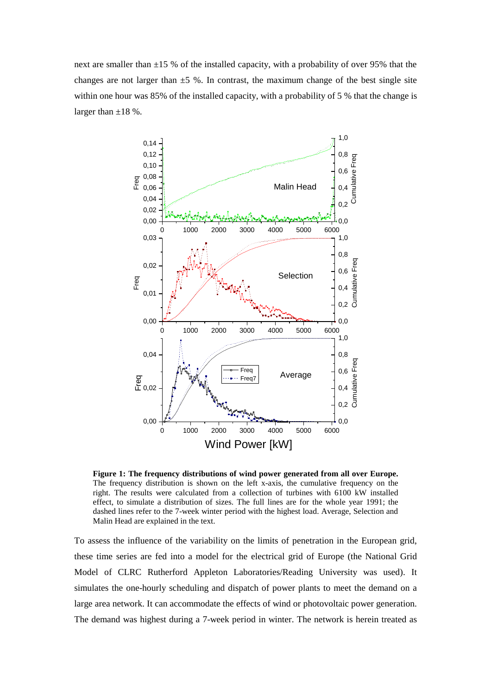next are smaller than  $\pm 15$  % of the installed capacity, with a probability of over 95% that the changes are not larger than  $\pm$ 5 %. In contrast, the maximum change of the best single site within one hour was 85% of the installed capacity, with a probability of 5 % that the change is larger than  $\pm 18$  %.



**Figure 1: The frequency distributions of wind power generated from all over Europe.** The frequency distribution is shown on the left x-axis, the cumulative frequency on the right. The results were calculated from a collection of turbines with 6100 kW installed effect, to simulate a distribution of sizes. The full lines are for the whole year 1991; the dashed lines refer to the 7-week winter period with the highest load. Average, Selection and Malin Head are explained in the text.

To assess the influence of the variability on the limits of penetration in the European grid, these time series are fed into a model for the electrical grid of Europe (the National Grid Model of CLRC Rutherford Appleton Laboratories/Reading University was used). It simulates the one-hourly scheduling and dispatch of power plants to meet the demand on a large area network. It can accommodate the effects of wind or photovoltaic power generation. The demand was highest during a 7-week period in winter. The network is herein treated as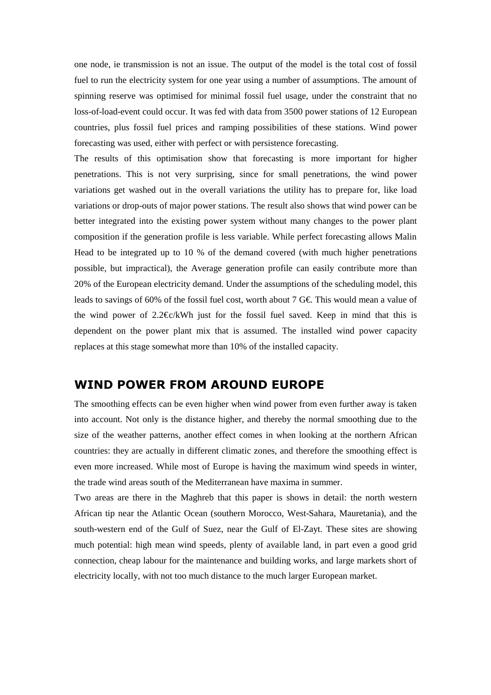one node, ie transmission is not an issue. The output of the model is the total cost of fossil fuel to run the electricity system for one year using a number of assumptions. The amount of spinning reserve was optimised for minimal fossil fuel usage, under the constraint that no loss-of-load-event could occur. It was fed with data from 3500 power stations of 12 European countries, plus fossil fuel prices and ramping possibilities of these stations. Wind power forecasting was used, either with perfect or with persistence forecasting.

The results of this optimisation show that forecasting is more important for higher penetrations. This is not very surprising, since for small penetrations, the wind power variations get washed out in the overall variations the utility has to prepare for, like load variations or drop-outs of major power stations. The result also shows that wind power can be better integrated into the existing power system without many changes to the power plant composition if the generation profile is less variable. While perfect forecasting allows Malin Head to be integrated up to 10 % of the demand covered (with much higher penetrations possible, but impractical), the Average generation profile can easily contribute more than 20% of the European electricity demand. Under the assumptions of the scheduling model, this leads to savings of 60% of the fossil fuel cost, worth about 7 G  $\epsilon$ . This would mean a value of the wind power of  $2.2 \in \mathbb{R}$  KWh just for the fossil fuel saved. Keep in mind that this is dependent on the power plant mix that is assumed. The installed wind power capacity replaces at this stage somewhat more than 10% of the installed capacity.

### **WIND POWER FROM AROUND EUROPE**

The smoothing effects can be even higher when wind power from even further away is taken into account. Not only is the distance higher, and thereby the normal smoothing due to the size of the weather patterns, another effect comes in when looking at the northern African countries: they are actually in different climatic zones, and therefore the smoothing effect is even more increased. While most of Europe is having the maximum wind speeds in winter, the trade wind areas south of the Mediterranean have maxima in summer.

Two areas are there in the Maghreb that this paper is shows in detail: the north western African tip near the Atlantic Ocean (southern Morocco, West-Sahara, Mauretania), and the south-western end of the Gulf of Suez, near the Gulf of El-Zayt. These sites are showing much potential: high mean wind speeds, plenty of available land, in part even a good grid connection, cheap labour for the maintenance and building works, and large markets short of electricity locally, with not too much distance to the much larger European market.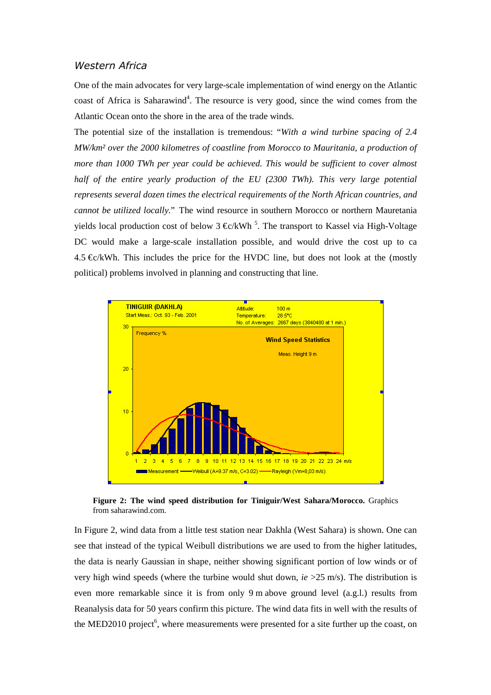#### *Western Africa*

One of the main advocates for very large-scale implementation of wind energy on the Atlantic coast of Africa is Saharawind<sup>4</sup>. The resource is very good, since the wind comes from the Atlantic Ocean onto the shore in the area of the trade winds.

The potential size of the installation is tremendous: "*With a wind turbine spacing of 2.4 MW/km² over the 2000 kilometres of coastline from Morocco to Mauritania, a production of more than 1000 TWh per year could be achieved. This would be sufficient to cover almost half of the entire yearly production of the EU (2300 TWh). This very large potential represents several dozen times the electrical requirements of the North African countries, and cannot be utilized locally.*" The wind resource in southern Morocco or northern Mauretania yields local production cost of below  $3 \in \mathbb{C}/kWh$ <sup>5</sup>. The transport to Kassel via High-Voltage DC would make a large-scale installation possible, and would drive the cost up to ca 4.5  $\&$ /kWh. This includes the price for the HVDC line, but does not look at the (mostly political) problems involved in planning and constructing that line.



**Figure 2: The wind speed distribution for Tiniguir/West Sahara/Morocco.** Graphics from saharawind.com.

In Figure 2, wind data from a little test station near Dakhla (West Sahara) is shown. One can see that instead of the typical Weibull distributions we are used to from the higher latitudes, the data is nearly Gaussian in shape, neither showing significant portion of low winds or of very high wind speeds (where the turbine would shut down, *ie* >25 m/s). The distribution is even more remarkable since it is from only 9 m above ground level (a.g.l.) results from Reanalysis data for 50 years confirm this picture. The wind data fits in well with the results of the MED2010 project<sup>6</sup>, where measurements were presented for a site further up the coast, on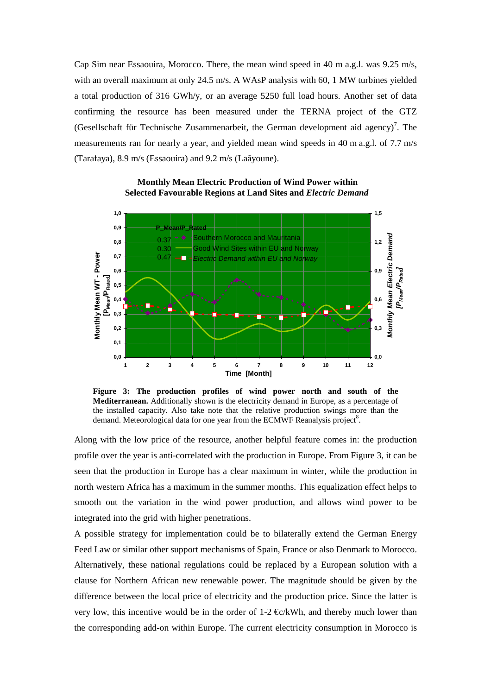Cap Sim near Essaouira, Morocco. There, the mean wind speed in 40 m a.g.l. was 9.25 m/s, with an overall maximum at only 24.5 m/s. A WAsP analysis with 60, 1 MW turbines yielded a total production of 316 GWh/y, or an average 5250 full load hours. Another set of data confirming the resource has been measured under the TERNA project of the GTZ (Gesellschaft für Technische Zusammenarbeit, the German development aid agency)<sup>7</sup>. The measurements ran for nearly a year, and yielded mean wind speeds in 40 m a.g.l. of 7.7 m/s (Tarafaya), 8.9 m/s (Essaouira) and 9.2 m/s (Laâyoune).



**Monthly Mean Electric Production of Wind Power within Selected Favourable Regions at Land Sites and** *Electric Demand*

**Figure 3: The production profiles of wind power north and south of the Mediterranean.** Additionally shown is the electricity demand in Europe, as a percentage of the installed capacity. Also take note that the relative production swings more than the demand. Meteorological data for one year from the ECMWF Reanalysis project<sup>8</sup>.

Along with the low price of the resource, another helpful feature comes in: the production profile over the year is anti-correlated with the production in Europe. From Figure 3, it can be seen that the production in Europe has a clear maximum in winter, while the production in north western Africa has a maximum in the summer months. This equalization effect helps to smooth out the variation in the wind power production, and allows wind power to be integrated into the grid with higher penetrations.

A possible strategy for implementation could be to bilaterally extend the German Energy Feed Law or similar other support mechanisms of Spain, France or also Denmark to Morocco. Alternatively, these national regulations could be replaced by a European solution with a clause for Northern African new renewable power. The magnitude should be given by the difference between the local price of electricity and the production price. Since the latter is very low, this incentive would be in the order of 1-2  $\oplus c/kWh$ , and thereby much lower than the corresponding add-on within Europe. The current electricity consumption in Morocco is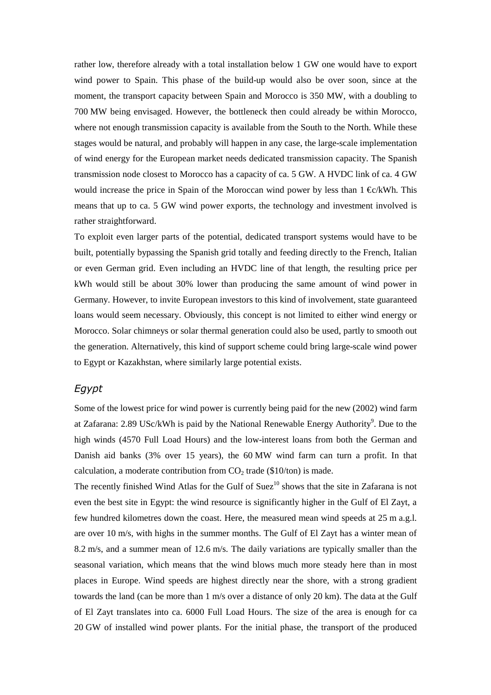rather low, therefore already with a total installation below 1 GW one would have to export wind power to Spain. This phase of the build-up would also be over soon, since at the moment, the transport capacity between Spain and Morocco is 350 MW, with a doubling to 700 MW being envisaged. However, the bottleneck then could already be within Morocco, where not enough transmission capacity is available from the South to the North. While these stages would be natural, and probably will happen in any case, the large-scale implementation of wind energy for the European market needs dedicated transmission capacity. The Spanish transmission node closest to Morocco has a capacity of ca. 5 GW. A HVDC link of ca. 4 GW would increase the price in Spain of the Moroccan wind power by less than  $1 \< kWh$ . This means that up to ca. 5 GW wind power exports, the technology and investment involved is rather straightforward.

To exploit even larger parts of the potential, dedicated transport systems would have to be built, potentially bypassing the Spanish grid totally and feeding directly to the French, Italian or even German grid. Even including an HVDC line of that length, the resulting price per kWh would still be about 30% lower than producing the same amount of wind power in Germany. However, to invite European investors to this kind of involvement, state guaranteed loans would seem necessary. Obviously, this concept is not limited to either wind energy or Morocco. Solar chimneys or solar thermal generation could also be used, partly to smooth out the generation. Alternatively, this kind of support scheme could bring large-scale wind power to Egypt or Kazakhstan, where similarly large potential exists.

#### *Egypt*

Some of the lowest price for wind power is currently being paid for the new (2002) wind farm at Zafarana: 2.89 USc/kWh is paid by the National Renewable Energy Authority<sup>9</sup>. Due to the high winds (4570 Full Load Hours) and the low-interest loans from both the German and Danish aid banks (3% over 15 years), the 60 MW wind farm can turn a profit. In that calculation, a moderate contribution from  $CO<sub>2</sub>$  trade (\$10/ton) is made.

The recently finished Wind Atlas for the Gulf of Suez $10$  shows that the site in Zafarana is not even the best site in Egypt: the wind resource is significantly higher in the Gulf of El Zayt, a few hundred kilometres down the coast. Here, the measured mean wind speeds at 25 m a.g.l. are over 10 m/s, with highs in the summer months. The Gulf of El Zayt has a winter mean of 8.2 m/s, and a summer mean of 12.6 m/s. The daily variations are typically smaller than the seasonal variation, which means that the wind blows much more steady here than in most places in Europe. Wind speeds are highest directly near the shore, with a strong gradient towards the land (can be more than 1 m/s over a distance of only 20 km). The data at the Gulf of El Zayt translates into ca. 6000 Full Load Hours. The size of the area is enough for ca 20 GW of installed wind power plants. For the initial phase, the transport of the produced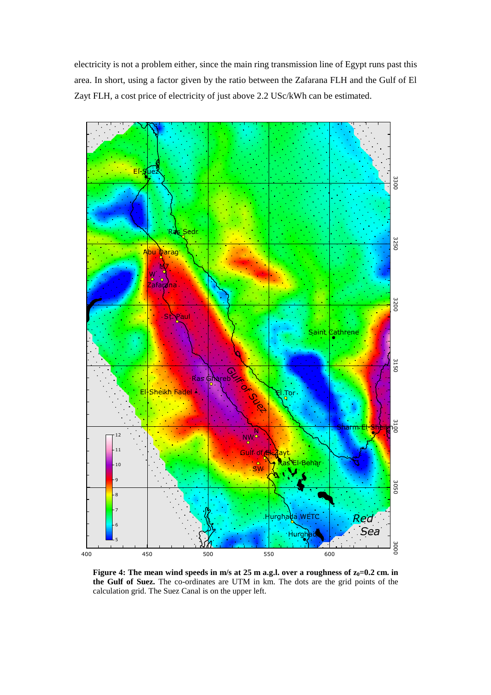electricity is not a problem either, since the main ring transmission line of Egypt runs past this area. In short, using a factor given by the ratio between the Zafarana FLH and the Gulf of El Zayt FLH, a cost price of electricity of just above 2.2 USc/kWh can be estimated.



**Figure 4:** The mean wind speeds in m/s at 25 m a.g.l. over a roughness of  $z_0=0.2$  cm. in **the Gulf of Suez.** The co-ordinates are UTM in km. The dots are the grid points of the calculation grid. The Suez Canal is on the upper left.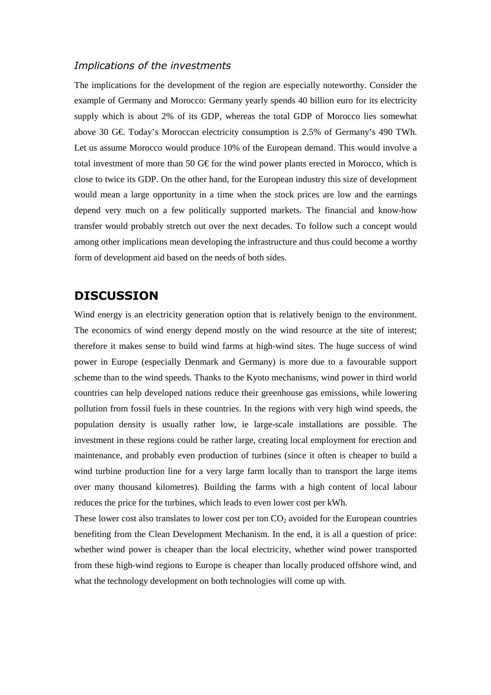### *Implications of the investments*

The implications for the development of the region are especially noteworthy. Consider the example of Germany and Morocco: Germany yearly spends 40 billion euro for its electricity supply which is about 2% of its GDP, whereas the total GDP of Morocco lies somewhat above 30 G€. Today's Moroccan electricity consumption is 2.5% of Germany's 490 TWh. Let us assume Morocco would produce 10% of the European demand. This would involve a total investment of more than 50 G€ for the wind power plants erected in Morocco, which is close to twice its GDP. On the other hand, for the European industry this size of development would mean a large opportunity in a time when the stock prices are low and the earnings depend very much on a few politically supported markets. The financial and know-how transfer would probably stretch out over the next decades. To follow such a concept would among other implications mean developing the infrastructure and thus could become a worthy form of development aid based on the needs of both sides.

## **DISCUSSION**

Wind energy is an electricity generation option that is relatively benign to the environment. The economics of wind energy depend mostly on the wind resource at the site of interest; therefore it makes sense to build wind farms at high-wind sites. The huge success of wind power in Europe (especially Denmark and Germany) is more due to a favourable support scheme than to the wind speeds. Thanks to the Kyoto mechanisms, wind power in third world countries can help developed nations reduce their greenhouse gas emissions, while lowering pollution from fossil fuels in these countries. In the regions with very high wind speeds, the population density is usually rather low, ie large-scale installations are possible. The investment in these regions could be rather large, creating local employment for erection and maintenance, and probably even production of turbines (since it often is cheaper to build a wind turbine production line for a very large farm locally than to transport the large items over many thousand kilometres). Building the farms with a high content of local labour reduces the price for the turbines, which leads to even lower cost per kWh.

These lower cost also translates to lower cost per ton  $CO<sub>2</sub>$  avoided for the European countries benefiting from the Clean Development Mechanism. In the end, it is all a question of price: whether wind power is cheaper than the local electricity, whether wind power transported from these high-wind regions to Europe is cheaper than locally produced offshore wind, and what the technology development on both technologies will come up with.